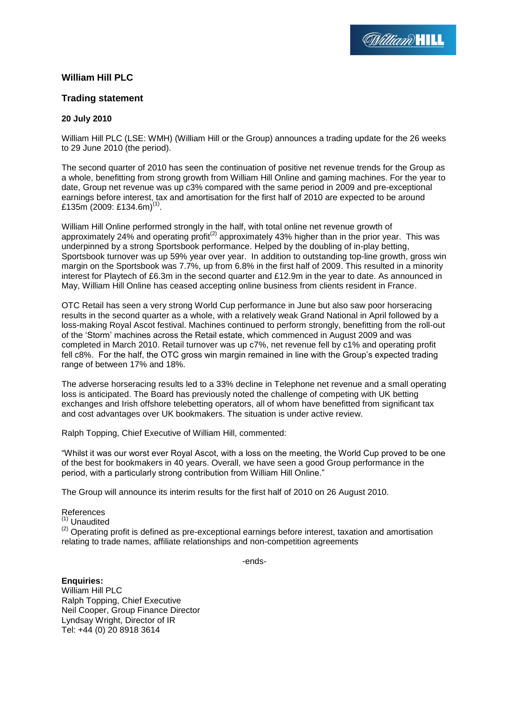# **William Hill PLC**

## **Trading statement**

## **20 July 2010**

William Hill PLC (LSE: WMH) (William Hill or the Group) announces a trading update for the 26 weeks to 29 June 2010 (the period).

The second quarter of 2010 has seen the continuation of positive net revenue trends for the Group as a whole, benefitting from strong growth from William Hill Online and gaming machines. For the year to date, Group net revenue was up c3% compared with the same period in 2009 and pre-exceptional earnings before interest, tax and amortisation for the first half of 2010 are expected to be around £135m (2009: £134.6m)<sup>(1)</sup>.

William Hill Online performed strongly in the half, with total online net revenue growth of approximately 24% and operating profit<sup>(2)</sup> approximately 43% higher than in the prior year. This was underpinned by a strong Sportsbook performance. Helped by the doubling of in-play betting, Sportsbook turnover was up 59% year over year. In addition to outstanding top-line growth, gross win margin on the Sportsbook was 7.7%, up from 6.8% in the first half of 2009. This resulted in a minority interest for Playtech of £6.3m in the second quarter and £12.9m in the year to date. As announced in May, William Hill Online has ceased accepting online business from clients resident in France.

OTC Retail has seen a very strong World Cup performance in June but also saw poor horseracing results in the second quarter as a whole, with a relatively weak Grand National in April followed by a loss-making Royal Ascot festival. Machines continued to perform strongly, benefitting from the roll-out of the "Storm" machines across the Retail estate, which commenced in August 2009 and was completed in March 2010. Retail turnover was up c7%, net revenue fell by c1% and operating profit fell c8%. For the half, the OTC gross win margin remained in line with the Group"s expected trading range of between 17% and 18%.

The adverse horseracing results led to a 33% decline in Telephone net revenue and a small operating loss is anticipated. The Board has previously noted the challenge of competing with UK betting exchanges and Irish offshore telebetting operators, all of whom have benefitted from significant tax and cost advantages over UK bookmakers. The situation is under active review.

Ralph Topping, Chief Executive of William Hill, commented:

"Whilst it was our worst ever Royal Ascot, with a loss on the meeting, the World Cup proved to be one of the best for bookmakers in 40 years. Overall, we have seen a good Group performance in the period, with a particularly strong contribution from William Hill Online."

The Group will announce its interim results for the first half of 2010 on 26 August 2010.

#### References

#### $(1)$  Unaudited

 $(2)$  Operating profit is defined as pre-exceptional earnings before interest, taxation and amortisation relating to trade names, affiliate relationships and non-competition agreements

-ends-

**Enquiries:** William Hill PLC Ralph Topping, Chief Executive Neil Cooper, Group Finance Director Lyndsay Wright, Director of IR Tel: +44 (0) 20 8918 3614